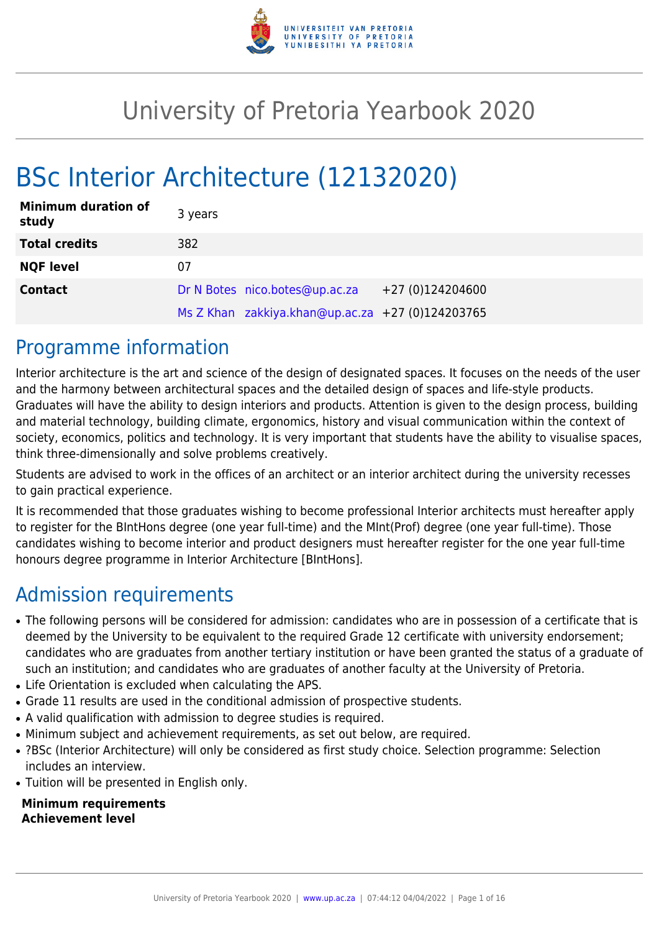

# University of Pretoria Yearbook 2020

# BSc Interior Architecture (12132020)

| <b>Minimum duration of</b><br>study | 3 years |                                                  |                  |
|-------------------------------------|---------|--------------------------------------------------|------------------|
| <b>Total credits</b>                | 382     |                                                  |                  |
| <b>NQF level</b>                    | 07      |                                                  |                  |
| <b>Contact</b>                      |         | Dr N Botes nico.botes@up.ac.za                   | +27 (0)124204600 |
|                                     |         | Ms Z Khan zakkiya.khan@up.ac.za +27 (0)124203765 |                  |

# Programme information

Interior architecture is the art and science of the design of designated spaces. It focuses on the needs of the user and the harmony between architectural spaces and the detailed design of spaces and life-style products. Graduates will have the ability to design interiors and products. Attention is given to the design process, building and material technology, building climate, ergonomics, history and visual communication within the context of society, economics, politics and technology. It is very important that students have the ability to visualise spaces, think three-dimensionally and solve problems creatively.

Students are advised to work in the offices of an architect or an interior architect during the university recesses to gain practical experience.

It is recommended that those graduates wishing to become professional Interior architects must hereafter apply to register for the BIntHons degree (one year full-time) and the MInt(Prof) degree (one year full-time). Those candidates wishing to become interior and product designers must hereafter register for the one year full-time honours degree programme in Interior Architecture [BIntHons].

# Admission requirements

- The following persons will be considered for admission: candidates who are in possession of a certificate that is deemed by the University to be equivalent to the required Grade 12 certificate with university endorsement; candidates who are graduates from another tertiary institution or have been granted the status of a graduate of such an institution; and candidates who are graduates of another faculty at the University of Pretoria.
- Life Orientation is excluded when calculating the APS.
- Grade 11 results are used in the conditional admission of prospective students.
- A valid qualification with admission to degree studies is required.
- Minimum subject and achievement requirements, as set out below, are required.
- ?BSc (Interior Architecture) will only be considered as first study choice. Selection programme: Selection includes an interview.
- Tuition will be presented in English only.

#### **Minimum requirements Achievement level**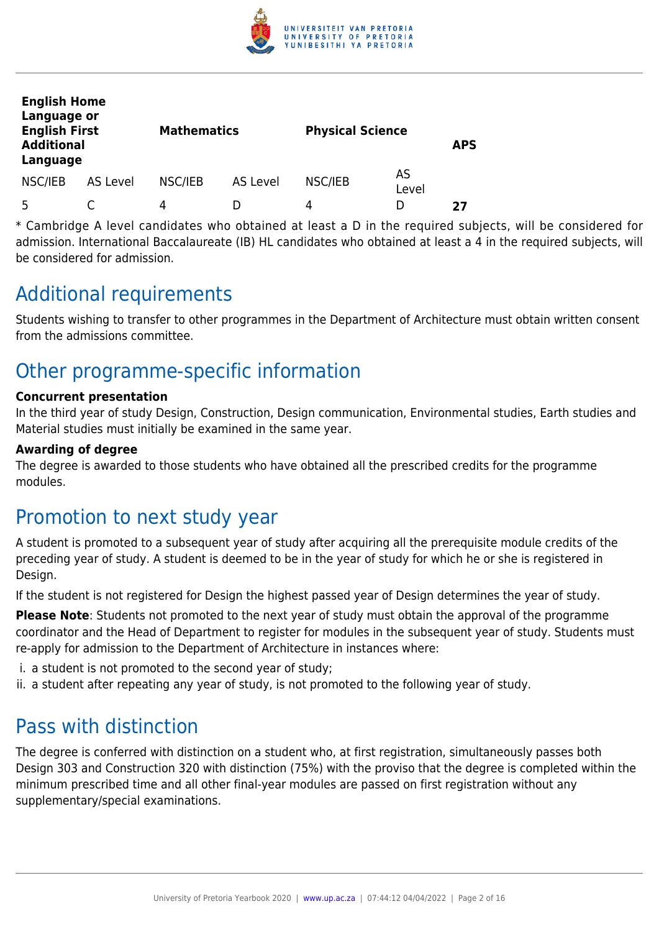

| <b>English Home</b><br>Language or<br><b>English First</b><br><b>Additional</b><br>Language |          | <b>Mathematics</b> |          | <b>Physical Science</b> |             | <b>APS</b> |
|---------------------------------------------------------------------------------------------|----------|--------------------|----------|-------------------------|-------------|------------|
| NSC/IEB                                                                                     | AS Level | NSC/IEB            | AS Level | NSC/IEB                 | AS<br>Level |            |
| 5                                                                                           |          | 4                  |          | 4                       | D           | 27         |

\* Cambridge A level candidates who obtained at least a D in the required subjects, will be considered for admission. International Baccalaureate (IB) HL candidates who obtained at least a 4 in the required subjects, will be considered for admission.

# Additional requirements

Students wishing to transfer to other programmes in the Department of Architecture must obtain written consent from the admissions committee.

# Other programme-specific information

# **Concurrent presentation**

In the third year of study Design, Construction, Design communication, Environmental studies, Earth studies and Material studies must initially be examined in the same year.

## **Awarding of degree**

The degree is awarded to those students who have obtained all the prescribed credits for the programme modules.

# Promotion to next study year

A student is promoted to a subsequent year of study after acquiring all the prerequisite module credits of the preceding year of study. A student is deemed to be in the year of study for which he or she is registered in Design.

If the student is not registered for Design the highest passed year of Design determines the year of study.

**Please Note**: Students not promoted to the next year of study must obtain the approval of the programme coordinator and the Head of Department to register for modules in the subsequent year of study. Students must re-apply for admission to the Department of Architecture in instances where:

- i. a student is not promoted to the second year of study;
- ii. a student after repeating any year of study, is not promoted to the following year of study.

# Pass with distinction

The degree is conferred with distinction on a student who, at first registration, simultaneously passes both Design 303 and Construction 320 with distinction (75%) with the proviso that the degree is completed within the minimum prescribed time and all other final-year modules are passed on first registration without any supplementary/special examinations.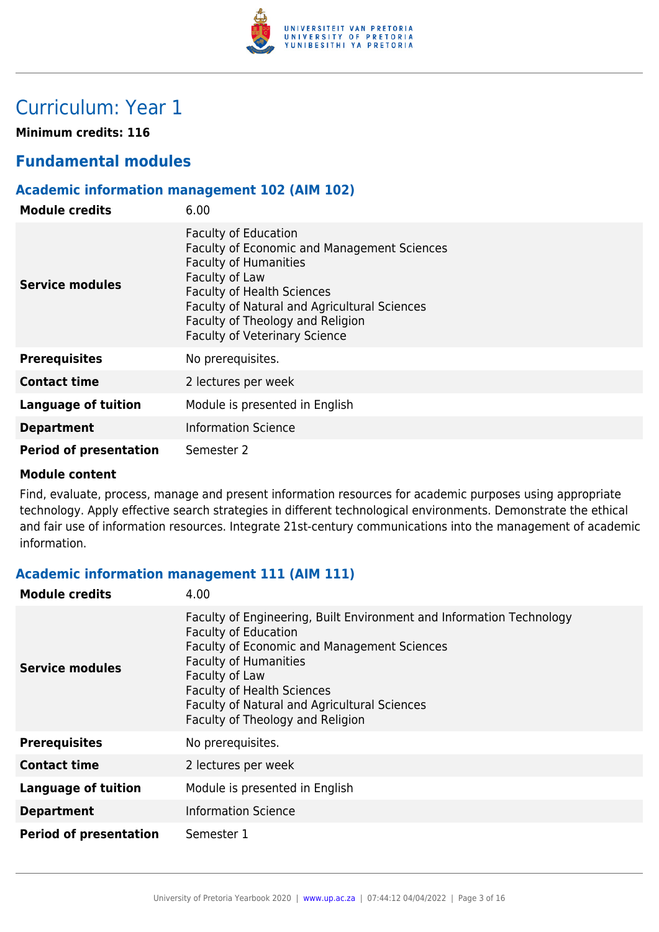

# Curriculum: Year 1

**Minimum credits: 116**

# **Fundamental modules**

# **Academic information management 102 (AIM 102)**

| <b>Module credits</b>         | 6.00                                                                                                                                                                                                                                                                                                 |
|-------------------------------|------------------------------------------------------------------------------------------------------------------------------------------------------------------------------------------------------------------------------------------------------------------------------------------------------|
| <b>Service modules</b>        | <b>Faculty of Education</b><br><b>Faculty of Economic and Management Sciences</b><br><b>Faculty of Humanities</b><br>Faculty of Law<br><b>Faculty of Health Sciences</b><br>Faculty of Natural and Agricultural Sciences<br>Faculty of Theology and Religion<br><b>Faculty of Veterinary Science</b> |
| <b>Prerequisites</b>          | No prerequisites.                                                                                                                                                                                                                                                                                    |
| <b>Contact time</b>           | 2 lectures per week                                                                                                                                                                                                                                                                                  |
| <b>Language of tuition</b>    | Module is presented in English                                                                                                                                                                                                                                                                       |
| <b>Department</b>             | <b>Information Science</b>                                                                                                                                                                                                                                                                           |
| <b>Period of presentation</b> | Semester 2                                                                                                                                                                                                                                                                                           |

#### **Module content**

Find, evaluate, process, manage and present information resources for academic purposes using appropriate technology. Apply effective search strategies in different technological environments. Demonstrate the ethical and fair use of information resources. Integrate 21st-century communications into the management of academic information.

# **Academic information management 111 (AIM 111)**

| <b>Module credits</b>         | 4.00                                                                                                                                                                                                                                                                                                                                 |
|-------------------------------|--------------------------------------------------------------------------------------------------------------------------------------------------------------------------------------------------------------------------------------------------------------------------------------------------------------------------------------|
| <b>Service modules</b>        | Faculty of Engineering, Built Environment and Information Technology<br><b>Faculty of Education</b><br><b>Faculty of Economic and Management Sciences</b><br><b>Faculty of Humanities</b><br>Faculty of Law<br><b>Faculty of Health Sciences</b><br>Faculty of Natural and Agricultural Sciences<br>Faculty of Theology and Religion |
| <b>Prerequisites</b>          | No prerequisites.                                                                                                                                                                                                                                                                                                                    |
| <b>Contact time</b>           | 2 lectures per week                                                                                                                                                                                                                                                                                                                  |
| <b>Language of tuition</b>    | Module is presented in English                                                                                                                                                                                                                                                                                                       |
| <b>Department</b>             | <b>Information Science</b>                                                                                                                                                                                                                                                                                                           |
| <b>Period of presentation</b> | Semester 1                                                                                                                                                                                                                                                                                                                           |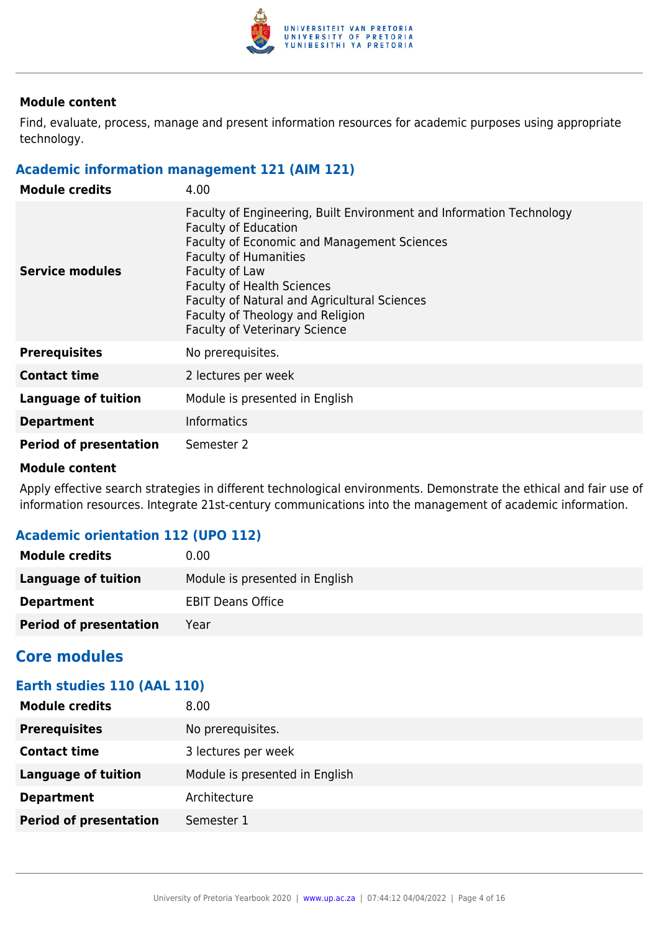

Find, evaluate, process, manage and present information resources for academic purposes using appropriate technology.

# **Academic information management 121 (AIM 121)**

| <b>Module credits</b>         | 4.00                                                                                                                                                                                                                                                                                                                                                                  |
|-------------------------------|-----------------------------------------------------------------------------------------------------------------------------------------------------------------------------------------------------------------------------------------------------------------------------------------------------------------------------------------------------------------------|
| Service modules               | Faculty of Engineering, Built Environment and Information Technology<br><b>Faculty of Education</b><br>Faculty of Economic and Management Sciences<br><b>Faculty of Humanities</b><br>Faculty of Law<br><b>Faculty of Health Sciences</b><br>Faculty of Natural and Agricultural Sciences<br>Faculty of Theology and Religion<br><b>Faculty of Veterinary Science</b> |
| <b>Prerequisites</b>          | No prerequisites.                                                                                                                                                                                                                                                                                                                                                     |
| <b>Contact time</b>           | 2 lectures per week                                                                                                                                                                                                                                                                                                                                                   |
| Language of tuition           | Module is presented in English                                                                                                                                                                                                                                                                                                                                        |
| <b>Department</b>             | <b>Informatics</b>                                                                                                                                                                                                                                                                                                                                                    |
| <b>Period of presentation</b> | Semester 2                                                                                                                                                                                                                                                                                                                                                            |

### **Module content**

Apply effective search strategies in different technological environments. Demonstrate the ethical and fair use of information resources. Integrate 21st-century communications into the management of academic information.

# **Academic orientation 112 (UPO 112)**

| <b>Module credits</b>         | $0.00 \,$                      |
|-------------------------------|--------------------------------|
| Language of tuition           | Module is presented in English |
| <b>Department</b>             | <b>EBIT Deans Office</b>       |
| <b>Period of presentation</b> | Year                           |

# **Core modules**

# **Earth studies 110 (AAL 110)**

| <b>Module credits</b>         | 8.00                           |
|-------------------------------|--------------------------------|
| <b>Prerequisites</b>          | No prerequisites.              |
| <b>Contact time</b>           | 3 lectures per week            |
| <b>Language of tuition</b>    | Module is presented in English |
| <b>Department</b>             | Architecture                   |
| <b>Period of presentation</b> | Semester 1                     |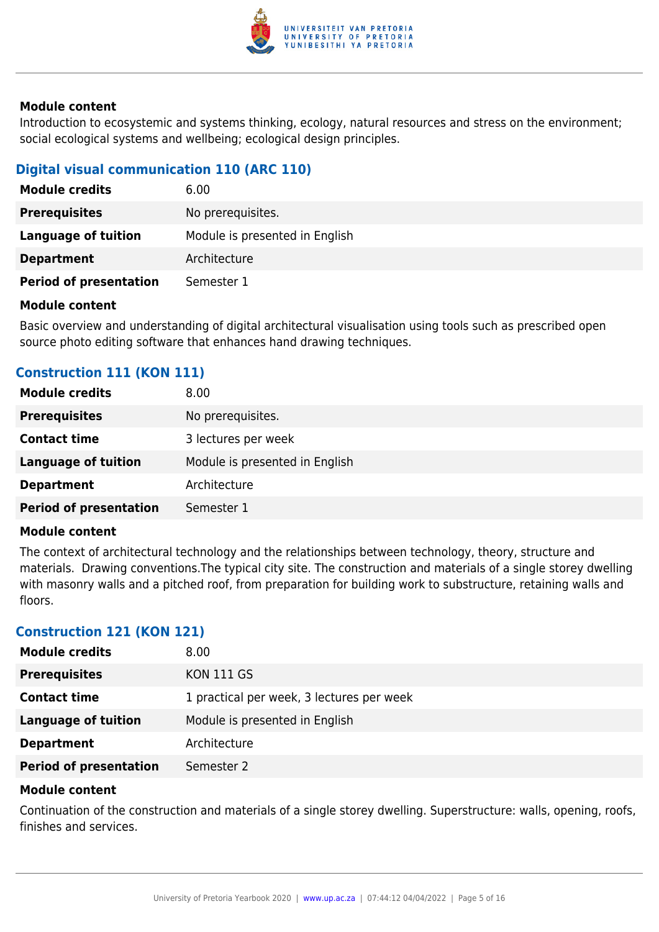

Introduction to ecosystemic and systems thinking, ecology, natural resources and stress on the environment; social ecological systems and wellbeing; ecological design principles.

# **Digital visual communication 110 (ARC 110)**

| <b>Module credits</b>         | 6.00                           |
|-------------------------------|--------------------------------|
| <b>Prerequisites</b>          | No prerequisites.              |
| Language of tuition           | Module is presented in English |
| <b>Department</b>             | Architecture                   |
| <b>Period of presentation</b> | Semester 1                     |

#### **Module content**

Basic overview and understanding of digital architectural visualisation using tools such as prescribed open source photo editing software that enhances hand drawing techniques.

# **Construction 111 (KON 111)**

| <b>Module credits</b>         | 8.00                           |
|-------------------------------|--------------------------------|
| <b>Prerequisites</b>          | No prerequisites.              |
| <b>Contact time</b>           | 3 lectures per week            |
| <b>Language of tuition</b>    | Module is presented in English |
| <b>Department</b>             | Architecture                   |
| <b>Period of presentation</b> | Semester 1                     |

#### **Module content**

The context of architectural technology and the relationships between technology, theory, structure and materials. Drawing conventions.The typical city site. The construction and materials of a single storey dwelling with masonry walls and a pitched roof, from preparation for building work to substructure, retaining walls and floors.

# **Construction 121 (KON 121)**

| <b>Module credits</b>         | 8.00                                      |
|-------------------------------|-------------------------------------------|
| <b>Prerequisites</b>          | <b>KON 111 GS</b>                         |
| <b>Contact time</b>           | 1 practical per week, 3 lectures per week |
| <b>Language of tuition</b>    | Module is presented in English            |
| <b>Department</b>             | Architecture                              |
| <b>Period of presentation</b> | Semester 2                                |

#### **Module content**

Continuation of the construction and materials of a single storey dwelling. Superstructure: walls, opening, roofs, finishes and services.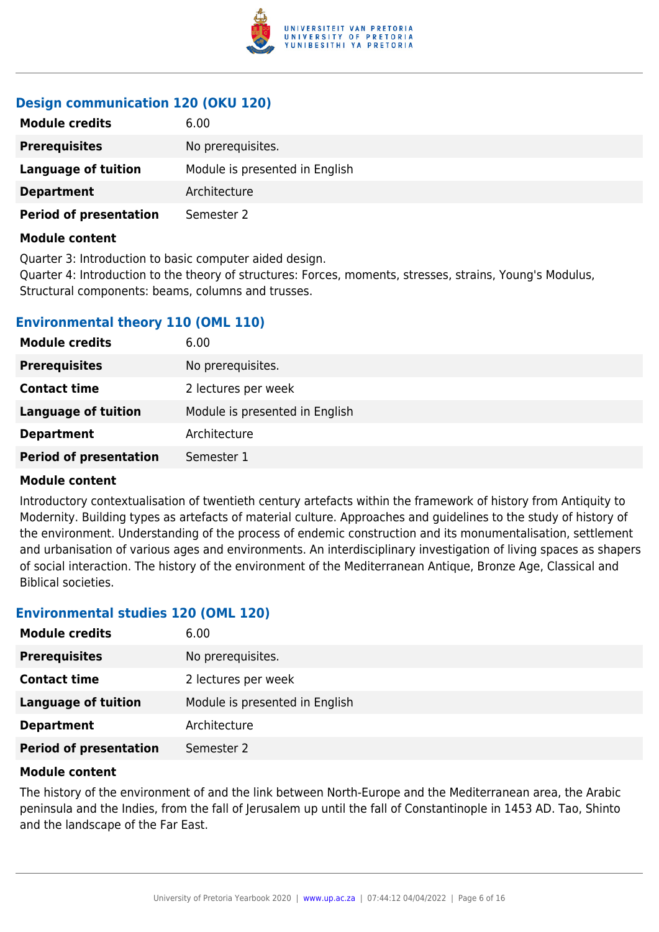

# **Design communication 120 (OKU 120)**

| <b>Module credits</b>         | 6.00                           |
|-------------------------------|--------------------------------|
| <b>Prerequisites</b>          | No prerequisites.              |
| Language of tuition           | Module is presented in English |
| <b>Department</b>             | Architecture                   |
| <b>Period of presentation</b> | Semester 2                     |

#### **Module content**

Quarter 3: Introduction to basic computer aided design.

Quarter 4: Introduction to the theory of structures: Forces, moments, stresses, strains, Young's Modulus, Structural components: beams, columns and trusses.

# **Environmental theory 110 (OML 110)**

| <b>Module credits</b>         | 6.00                           |
|-------------------------------|--------------------------------|
| <b>Prerequisites</b>          | No prerequisites.              |
| <b>Contact time</b>           | 2 lectures per week            |
| <b>Language of tuition</b>    | Module is presented in English |
| <b>Department</b>             | Architecture                   |
| <b>Period of presentation</b> | Semester 1                     |

## **Module content**

Introductory contextualisation of twentieth century artefacts within the framework of history from Antiquity to Modernity. Building types as artefacts of material culture. Approaches and guidelines to the study of history of the environment. Understanding of the process of endemic construction and its monumentalisation, settlement and urbanisation of various ages and environments. An interdisciplinary investigation of living spaces as shapers of social interaction. The history of the environment of the Mediterranean Antique, Bronze Age, Classical and Biblical societies.

## **Environmental studies 120 (OML 120)**

| <b>Module credits</b>         | 6.00                           |
|-------------------------------|--------------------------------|
| <b>Prerequisites</b>          | No prerequisites.              |
| <b>Contact time</b>           | 2 lectures per week            |
| Language of tuition           | Module is presented in English |
| <b>Department</b>             | Architecture                   |
| <b>Period of presentation</b> | Semester 2                     |

#### **Module content**

The history of the environment of and the link between North-Europe and the Mediterranean area, the Arabic peninsula and the Indies, from the fall of Jerusalem up until the fall of Constantinople in 1453 AD. Tao, Shinto and the landscape of the Far East.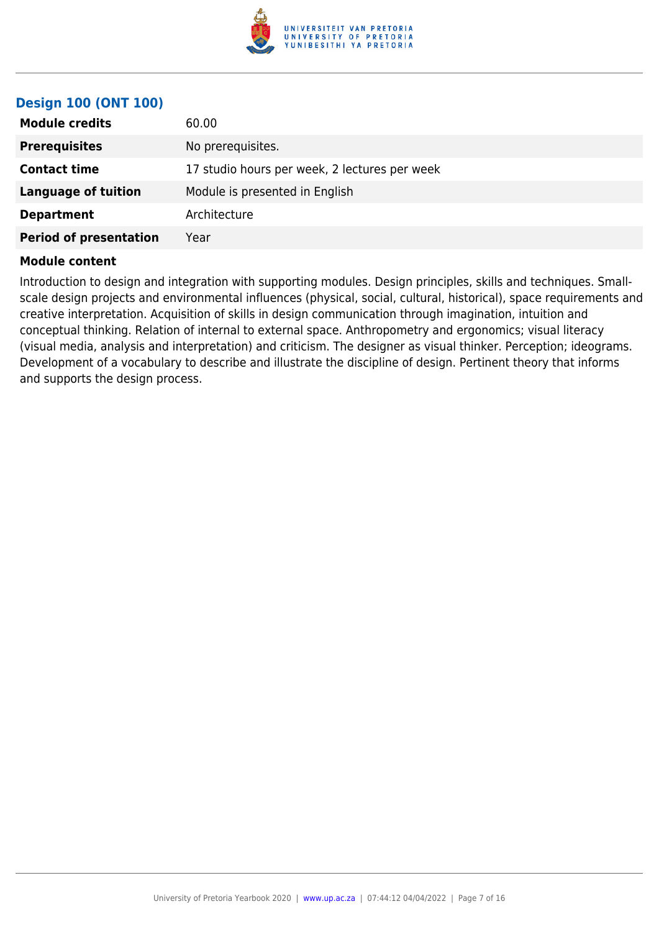

# **Design 100 (ONT 100)**

| <b>Module credits</b>         | 60.00                                         |
|-------------------------------|-----------------------------------------------|
| <b>Prerequisites</b>          | No prerequisites.                             |
| <b>Contact time</b>           | 17 studio hours per week, 2 lectures per week |
| <b>Language of tuition</b>    | Module is presented in English                |
| <b>Department</b>             | Architecture                                  |
| <b>Period of presentation</b> | Year                                          |

#### **Module content**

Introduction to design and integration with supporting modules. Design principles, skills and techniques. Smallscale design projects and environmental influences (physical, social, cultural, historical), space requirements and creative interpretation. Acquisition of skills in design communication through imagination, intuition and conceptual thinking. Relation of internal to external space. Anthropometry and ergonomics; visual literacy (visual media, analysis and interpretation) and criticism. The designer as visual thinker. Perception; ideograms. Development of a vocabulary to describe and illustrate the discipline of design. Pertinent theory that informs and supports the design process.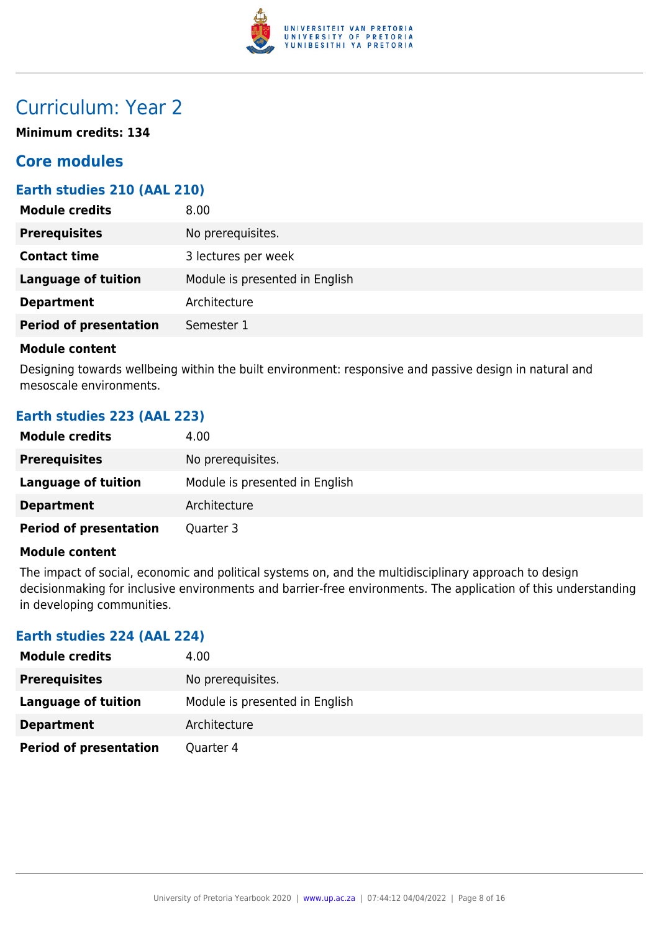

# Curriculum: Year 2

**Minimum credits: 134**

# **Core modules**

# **Earth studies 210 (AAL 210)**

| <b>Module credits</b>         | 8.00                           |
|-------------------------------|--------------------------------|
| <b>Prerequisites</b>          | No prerequisites.              |
| <b>Contact time</b>           | 3 lectures per week            |
| <b>Language of tuition</b>    | Module is presented in English |
| <b>Department</b>             | Architecture                   |
| <b>Period of presentation</b> | Semester 1                     |
|                               |                                |

#### **Module content**

Designing towards wellbeing within the built environment: responsive and passive design in natural and mesoscale environments.

# **Earth studies 223 (AAL 223)**

| <b>Module credits</b>         | 4.00                           |
|-------------------------------|--------------------------------|
| <b>Prerequisites</b>          | No prerequisites.              |
| Language of tuition           | Module is presented in English |
| <b>Department</b>             | Architecture                   |
| <b>Period of presentation</b> | Quarter 3                      |

# **Module content**

The impact of social, economic and political systems on, and the multidisciplinary approach to design decisionmaking for inclusive environments and barrier-free environments. The application of this understanding in developing communities.

## **Earth studies 224 (AAL 224)**

| <b>Module credits</b>         | 4.00                           |
|-------------------------------|--------------------------------|
| <b>Prerequisites</b>          | No prerequisites.              |
| Language of tuition           | Module is presented in English |
| <b>Department</b>             | Architecture                   |
| <b>Period of presentation</b> | Quarter 4                      |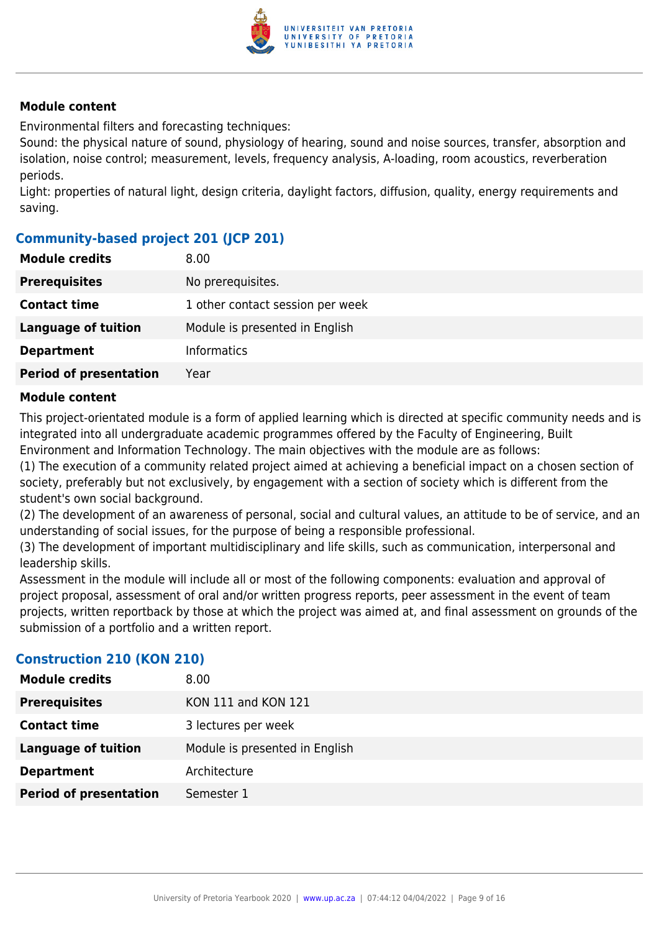

Environmental filters and forecasting techniques:

Sound: the physical nature of sound, physiology of hearing, sound and noise sources, transfer, absorption and isolation, noise control; measurement, levels, frequency analysis, A-loading, room acoustics, reverberation periods.

Light: properties of natural light, design criteria, daylight factors, diffusion, quality, energy requirements and saving.

# **Community-based project 201 (JCP 201)**

| <b>Module credits</b>         | 8.00                             |
|-------------------------------|----------------------------------|
| <b>Prerequisites</b>          | No prerequisites.                |
| <b>Contact time</b>           | 1 other contact session per week |
| <b>Language of tuition</b>    | Module is presented in English   |
| <b>Department</b>             | <b>Informatics</b>               |
| <b>Period of presentation</b> | Year                             |

## **Module content**

This project-orientated module is a form of applied learning which is directed at specific community needs and is integrated into all undergraduate academic programmes offered by the Faculty of Engineering, Built Environment and Information Technology. The main objectives with the module are as follows:

(1) The execution of a community related project aimed at achieving a beneficial impact on a chosen section of society, preferably but not exclusively, by engagement with a section of society which is different from the student's own social background.

(2) The development of an awareness of personal, social and cultural values, an attitude to be of service, and an understanding of social issues, for the purpose of being a responsible professional.

(3) The development of important multidisciplinary and life skills, such as communication, interpersonal and leadership skills.

Assessment in the module will include all or most of the following components: evaluation and approval of project proposal, assessment of oral and/or written progress reports, peer assessment in the event of team projects, written reportback by those at which the project was aimed at, and final assessment on grounds of the submission of a portfolio and a written report.

# **Construction 210 (KON 210)**

| <b>Module credits</b>         | 8.00                           |
|-------------------------------|--------------------------------|
| <b>Prerequisites</b>          | <b>KON 111 and KON 121</b>     |
| <b>Contact time</b>           | 3 lectures per week            |
| <b>Language of tuition</b>    | Module is presented in English |
| <b>Department</b>             | Architecture                   |
| <b>Period of presentation</b> | Semester 1                     |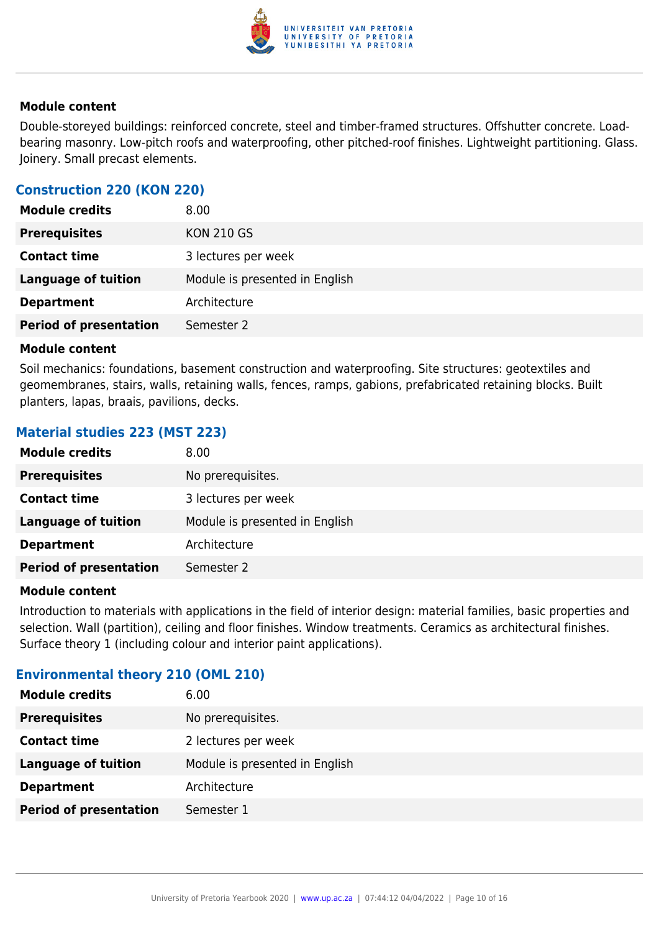

Double-storeyed buildings: reinforced concrete, steel and timber-framed structures. Offshutter concrete. Loadbearing masonry. Low-pitch roofs and waterproofing, other pitched-roof finishes. Lightweight partitioning. Glass. Joinery. Small precast elements.

# **Construction 220 (KON 220)**

| <b>Module credits</b>         | 8.00                           |
|-------------------------------|--------------------------------|
| <b>Prerequisites</b>          | <b>KON 210 GS</b>              |
| <b>Contact time</b>           | 3 lectures per week            |
| <b>Language of tuition</b>    | Module is presented in English |
| <b>Department</b>             | Architecture                   |
| <b>Period of presentation</b> | Semester 2                     |
|                               |                                |

#### **Module content**

Soil mechanics: foundations, basement construction and waterproofing. Site structures: geotextiles and geomembranes, stairs, walls, retaining walls, fences, ramps, gabions, prefabricated retaining blocks. Built planters, lapas, braais, pavilions, decks.

# **Material studies 223 (MST 223)**

| <b>Module credits</b>         | 8.00                           |
|-------------------------------|--------------------------------|
| <b>Prerequisites</b>          | No prerequisites.              |
| <b>Contact time</b>           | 3 lectures per week            |
| <b>Language of tuition</b>    | Module is presented in English |
| <b>Department</b>             | Architecture                   |
| <b>Period of presentation</b> | Semester 2                     |

#### **Module content**

Introduction to materials with applications in the field of interior design: material families, basic properties and selection. Wall (partition), ceiling and floor finishes. Window treatments. Ceramics as architectural finishes. Surface theory 1 (including colour and interior paint applications).

## **Environmental theory 210 (OML 210)**

| 6.00                           |
|--------------------------------|
| No prerequisites.              |
| 2 lectures per week            |
| Module is presented in English |
| Architecture                   |
| Semester 1                     |
|                                |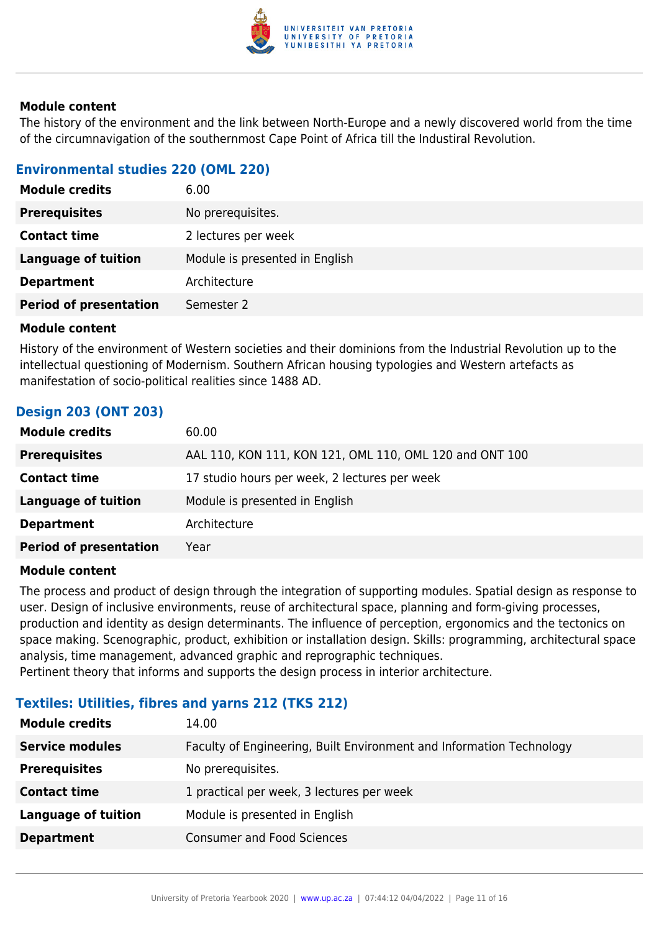

The history of the environment and the link between North-Europe and a newly discovered world from the time of the circumnavigation of the southernmost Cape Point of Africa till the Industiral Revolution.

# **Environmental studies 220 (OML 220)**

| <b>Module credits</b>         | 6.00                           |
|-------------------------------|--------------------------------|
| <b>Prerequisites</b>          | No prerequisites.              |
| <b>Contact time</b>           | 2 lectures per week            |
| <b>Language of tuition</b>    | Module is presented in English |
| <b>Department</b>             | Architecture                   |
| <b>Period of presentation</b> | Semester 2                     |

## **Module content**

History of the environment of Western societies and their dominions from the Industrial Revolution up to the intellectual questioning of Modernism. Southern African housing typologies and Western artefacts as manifestation of socio-political realities since 1488 AD.

# **Design 203 (ONT 203)**

| <b>Module credits</b>         | 60.00                                                   |
|-------------------------------|---------------------------------------------------------|
| <b>Prerequisites</b>          | AAL 110, KON 111, KON 121, OML 110, OML 120 and ONT 100 |
| <b>Contact time</b>           | 17 studio hours per week, 2 lectures per week           |
| <b>Language of tuition</b>    | Module is presented in English                          |
| <b>Department</b>             | Architecture                                            |
| <b>Period of presentation</b> | Year                                                    |
|                               |                                                         |

## **Module content**

The process and product of design through the integration of supporting modules. Spatial design as response to user. Design of inclusive environments, reuse of architectural space, planning and form-giving processes, production and identity as design determinants. The influence of perception, ergonomics and the tectonics on space making. Scenographic, product, exhibition or installation design. Skills: programming, architectural space analysis, time management, advanced graphic and reprographic techniques. Pertinent theory that informs and supports the design process in interior architecture.

# **Textiles: Utilities, fibres and yarns 212 (TKS 212)**

| <b>Module credits</b>      | 14.00                                                                |
|----------------------------|----------------------------------------------------------------------|
| <b>Service modules</b>     | Faculty of Engineering, Built Environment and Information Technology |
| <b>Prerequisites</b>       | No prerequisites.                                                    |
| <b>Contact time</b>        | 1 practical per week, 3 lectures per week                            |
| <b>Language of tuition</b> | Module is presented in English                                       |
| <b>Department</b>          | <b>Consumer and Food Sciences</b>                                    |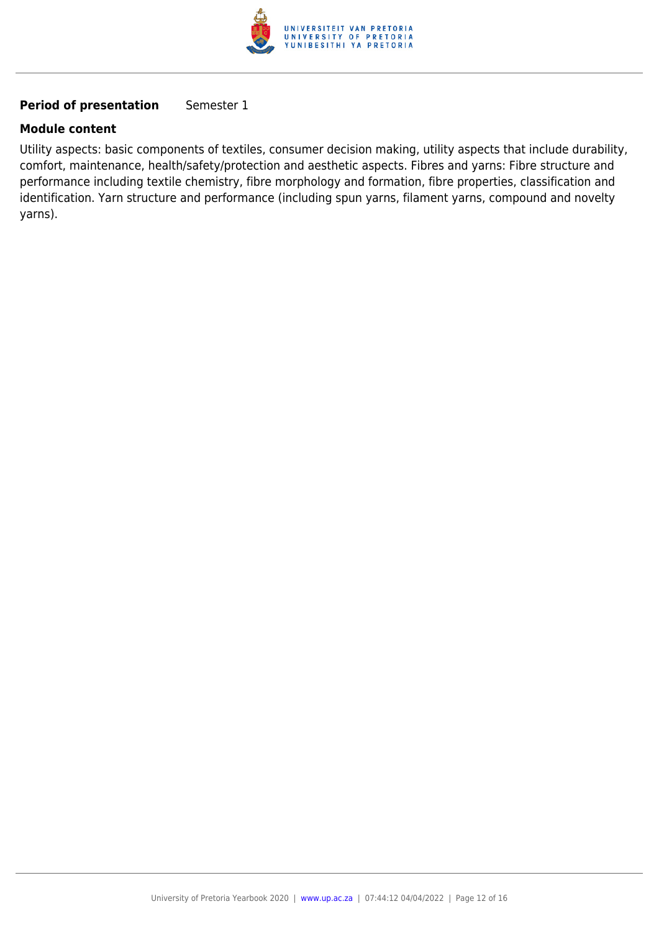

# **Period of presentation** Semester 1

## **Module content**

Utility aspects: basic components of textiles, consumer decision making, utility aspects that include durability, comfort, maintenance, health/safety/protection and aesthetic aspects. Fibres and yarns: Fibre structure and performance including textile chemistry, fibre morphology and formation, fibre properties, classification and identification. Yarn structure and performance (including spun yarns, filament yarns, compound and novelty yarns).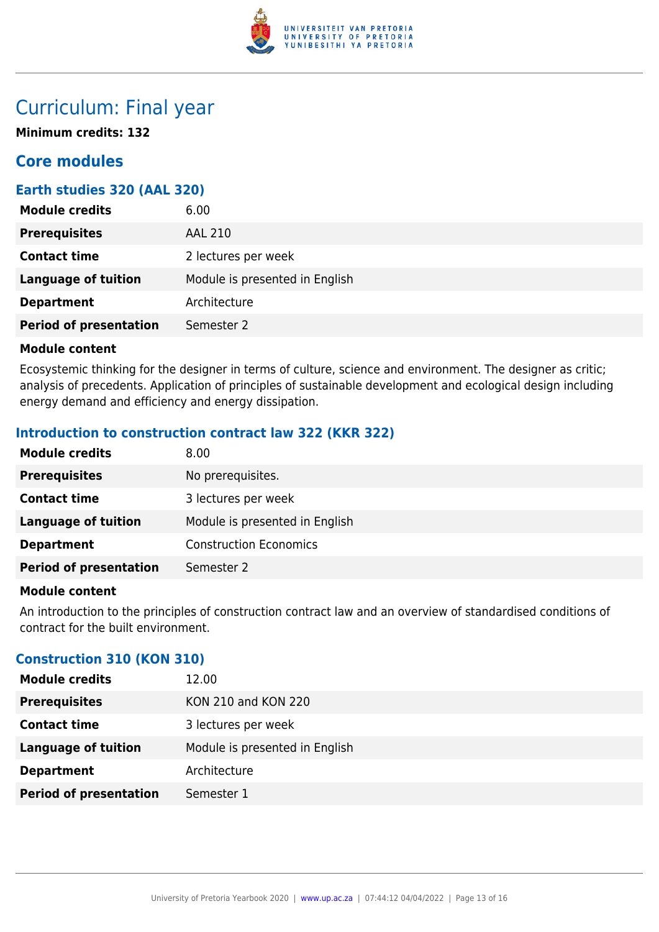

# Curriculum: Final year

**Minimum credits: 132**

# **Core modules**

# **Earth studies 320 (AAL 320)**

| <b>Module credits</b>         | 6.00                           |
|-------------------------------|--------------------------------|
| <b>Prerequisites</b>          | <b>AAL 210</b>                 |
| <b>Contact time</b>           | 2 lectures per week            |
| <b>Language of tuition</b>    | Module is presented in English |
| <b>Department</b>             | Architecture                   |
| <b>Period of presentation</b> | Semester 2                     |

## **Module content**

Ecosystemic thinking for the designer in terms of culture, science and environment. The designer as critic; analysis of precedents. Application of principles of sustainable development and ecological design including energy demand and efficiency and energy dissipation.

# **Introduction to construction contract law 322 (KKR 322)**

| <b>Module credits</b>         | 8.00                           |
|-------------------------------|--------------------------------|
| <b>Prerequisites</b>          | No prerequisites.              |
| <b>Contact time</b>           | 3 lectures per week            |
| Language of tuition           | Module is presented in English |
| <b>Department</b>             | <b>Construction Economics</b>  |
| <b>Period of presentation</b> | Semester 2                     |

## **Module content**

An introduction to the principles of construction contract law and an overview of standardised conditions of contract for the built environment.

# **Construction 310 (KON 310)**

| <b>Module credits</b>         | 12.00                          |
|-------------------------------|--------------------------------|
| <b>Prerequisites</b>          | <b>KON 210 and KON 220</b>     |
| <b>Contact time</b>           | 3 lectures per week            |
| <b>Language of tuition</b>    | Module is presented in English |
| <b>Department</b>             | Architecture                   |
| <b>Period of presentation</b> | Semester 1                     |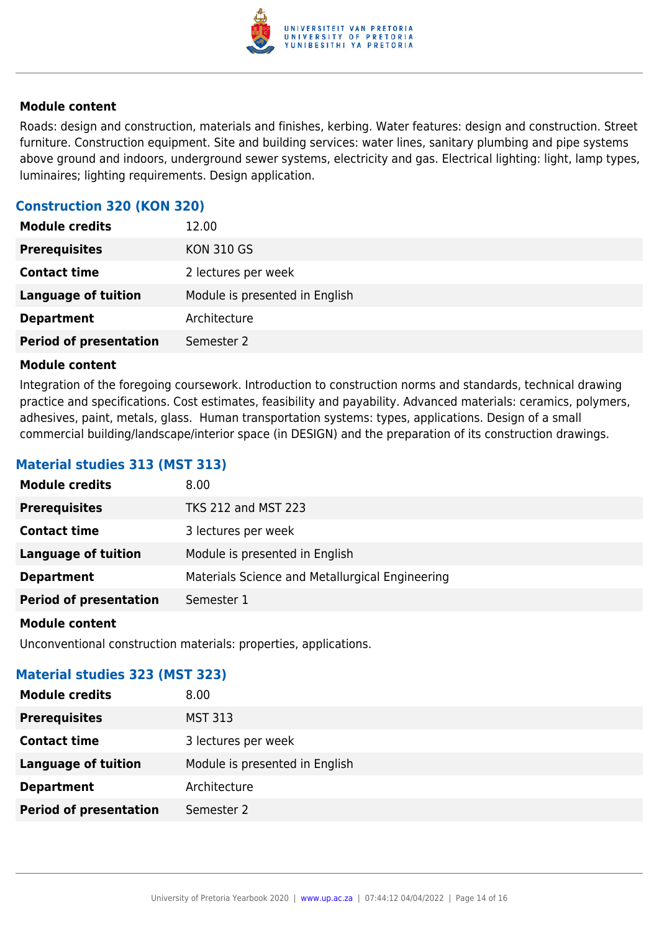

Roads: design and construction, materials and finishes, kerbing. Water features: design and construction. Street furniture. Construction equipment. Site and building services: water lines, sanitary plumbing and pipe systems above ground and indoors, underground sewer systems, electricity and gas. Electrical lighting: light, lamp types, luminaires; lighting requirements. Design application.

# **Construction 320 (KON 320)**

| <b>Module credits</b>         | 12.00                          |
|-------------------------------|--------------------------------|
| <b>Prerequisites</b>          | <b>KON 310 GS</b>              |
| <b>Contact time</b>           | 2 lectures per week            |
| <b>Language of tuition</b>    | Module is presented in English |
| <b>Department</b>             | Architecture                   |
| <b>Period of presentation</b> | Semester 2                     |

#### **Module content**

Integration of the foregoing coursework. Introduction to construction norms and standards, technical drawing practice and specifications. Cost estimates, feasibility and payability. Advanced materials: ceramics, polymers, adhesives, paint, metals, glass. Human transportation systems: types, applications. Design of a small commercial building/landscape/interior space (in DESIGN) and the preparation of its construction drawings.

## **Material studies 313 (MST 313)**

| <b>Module credits</b>         | 8.00                                            |
|-------------------------------|-------------------------------------------------|
| <b>Prerequisites</b>          | <b>TKS 212 and MST 223</b>                      |
| <b>Contact time</b>           | 3 lectures per week                             |
| Language of tuition           | Module is presented in English                  |
| <b>Department</b>             | Materials Science and Metallurgical Engineering |
| <b>Period of presentation</b> | Semester 1                                      |
|                               |                                                 |

#### **Module content**

Unconventional construction materials: properties, applications.

## **Material studies 323 (MST 323)**

| <b>Module credits</b>         | 8.00                           |
|-------------------------------|--------------------------------|
| <b>Prerequisites</b>          | <b>MST 313</b>                 |
| <b>Contact time</b>           | 3 lectures per week            |
| <b>Language of tuition</b>    | Module is presented in English |
| <b>Department</b>             | Architecture                   |
| <b>Period of presentation</b> | Semester 2                     |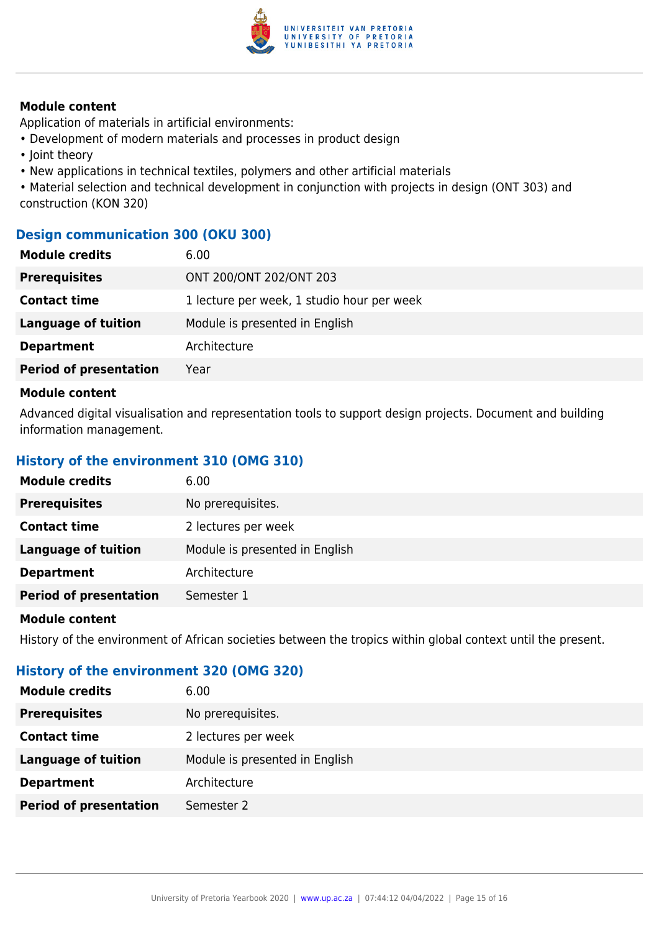

Application of materials in artificial environments:

- Development of modern materials and processes in product design
- Joint theory
- New applications in technical textiles, polymers and other artificial materials

• Material selection and technical development in conjunction with projects in design (ONT 303) and construction (KON 320)

# **Design communication 300 (OKU 300)**

| <b>Module credits</b>         | 6.00                                       |
|-------------------------------|--------------------------------------------|
| <b>Prerequisites</b>          | ONT 200/ONT 202/ONT 203                    |
| <b>Contact time</b>           | 1 lecture per week, 1 studio hour per week |
| <b>Language of tuition</b>    | Module is presented in English             |
| <b>Department</b>             | Architecture                               |
| <b>Period of presentation</b> | Year                                       |
|                               |                                            |

## **Module content**

Advanced digital visualisation and representation tools to support design projects. Document and building information management.

# **History of the environment 310 (OMG 310)**

| <b>Module credits</b>         | 6.00                           |
|-------------------------------|--------------------------------|
| <b>Prerequisites</b>          | No prerequisites.              |
| <b>Contact time</b>           | 2 lectures per week            |
| <b>Language of tuition</b>    | Module is presented in English |
| <b>Department</b>             | Architecture                   |
| <b>Period of presentation</b> | Semester 1                     |
|                               |                                |

#### **Module content**

History of the environment of African societies between the tropics within global context until the present.

## **History of the environment 320 (OMG 320)**

| <b>Prerequisites</b><br>No prerequisites.<br><b>Contact time</b><br>2 lectures per week<br>Module is presented in English<br>Language of tuition<br>Architecture<br><b>Department</b> | <b>Module credits</b>         | 6.00       |
|---------------------------------------------------------------------------------------------------------------------------------------------------------------------------------------|-------------------------------|------------|
|                                                                                                                                                                                       |                               |            |
|                                                                                                                                                                                       |                               |            |
|                                                                                                                                                                                       |                               |            |
|                                                                                                                                                                                       |                               |            |
|                                                                                                                                                                                       | <b>Period of presentation</b> | Semester 2 |